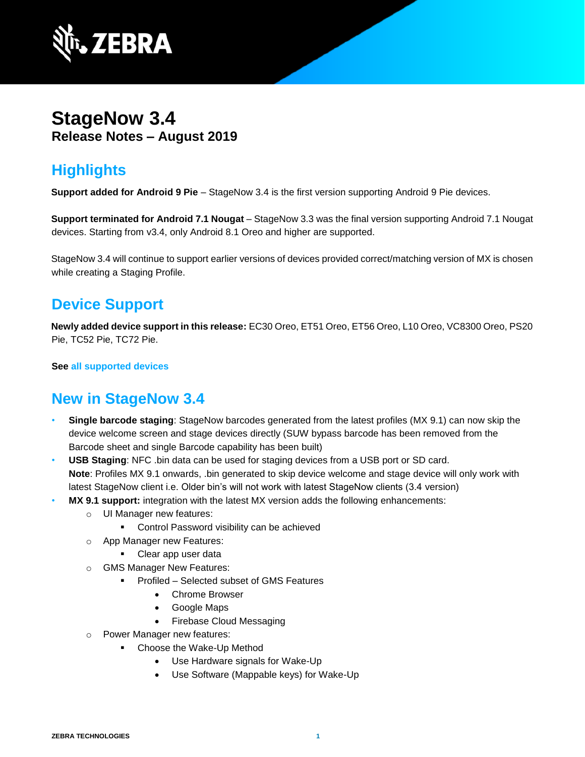

# **StageNow 3.4 Release Notes – August 2019**

## **Highlights**

**Support added for Android 9 Pie** – StageNow 3.4 is the first version supporting Android 9 Pie devices.

**Support terminated for Android 7.1 Nougat** – StageNow 3.3 was the final version supporting Android 7.1 Nougat devices. Starting from v3.4, only Android 8.1 Oreo and higher are supported.

StageNow 3.4 will continue to support earlier versions of devices provided correct/matching version of MX is chosen while creating a Staging Profile.

### **Device Support**

**Newly added device support in this release:** EC30 Oreo, ET51 Oreo, ET56 Oreo, L10 Oreo, VC8300 Oreo, PS20 Pie, TC52 Pie, TC72 Pie.

**See [all supported devices](http://techdocs.zebra.com/stagenow/)**

### **New in StageNow 3.4**

- **Single barcode staging**: StageNow barcodes generated from the latest profiles (MX 9.1) can now skip the device welcome screen and stage devices directly (SUW bypass barcode has been removed from the Barcode sheet and single Barcode capability has been built)
- **USB Staging**: NFC .bin data can be used for staging devices from a USB port or SD card. **Note**: Profiles MX 9.1 onwards, .bin generated to skip device welcome and stage device will only work with latest StageNow client i.e. Older bin's will not work with latest StageNow clients (3.4 version)
- **MX 9.1 support:** integration with the latest MX version adds the following enhancements:
	- o UI Manager new features:
		- Control Password visibility can be achieved
	- o App Manager new Features:
		- Clear app user data
	- o GMS Manager New Features:
		- Profiled Selected subset of GMS Features
			- Chrome Browser
			- Google Maps
			- Firebase Cloud Messaging
	- o Power Manager new features:
		- Choose the Wake-Up Method
			- Use Hardware signals for Wake-Up
			- Use Software (Mappable keys) for Wake-Up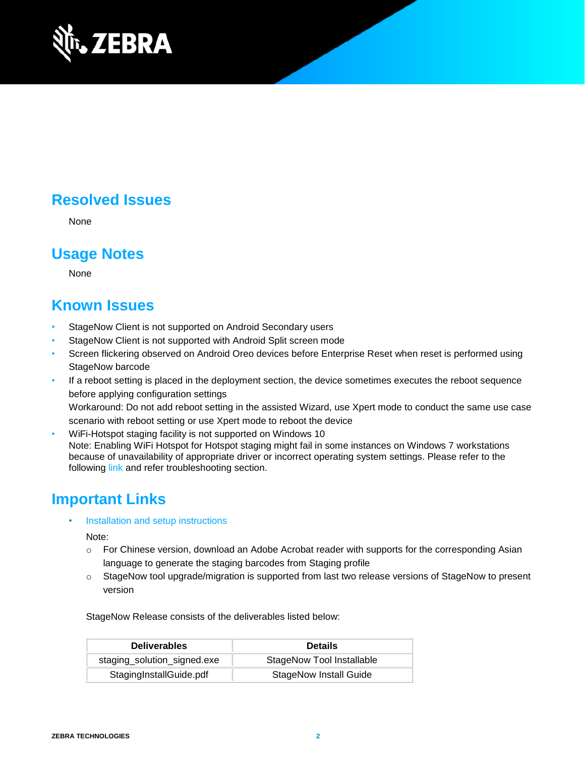

# **Resolved Issues**

None

### **Usage Notes**

None

#### **Known Issues**

- StageNow Client is not supported on Android Secondary users
- StageNow Client is not supported with Android Split screen mode
- Screen flickering observed on Android Oreo devices before Enterprise Reset when reset is performed using StageNow barcode
- If a reboot setting is placed in the deployment section, the device sometimes executes the reboot sequence before applying configuration settings Workaround: Do not add reboot setting in the assisted Wizard, use Xpert mode to conduct the same use case scenario with reboot setting or use Xpert mode to reboot the device
- WiFi-Hotspot staging facility is not supported on Windows 10 Note: Enabling WiFi Hotspot for Hotspot staging might fail in some instances on Windows 7 workstations because of unavailability of appropriate driver or incorrect operating system settings. Please refer to the following [link](http://techdocs.zebra.com/stagenow/) and refer troubleshooting section.

### **Important Links**

• [Installation and setup](http://techdocs.zebra.com/stagenow/) instructions

Note:

- $\circ$  For Chinese version, download an Adobe Acrobat reader with supports for the corresponding Asian language to generate the staging barcodes from Staging profile
- o StageNow tool upgrade/migration is supported from last two release versions of StageNow to present version

StageNow Release consists of the deliverables listed below:

| <b>Deliverables</b>         | <b>Details</b>                   |
|-----------------------------|----------------------------------|
| staging_solution_signed.exe | <b>StageNow Tool Installable</b> |
| StagingInstallGuide.pdf     | <b>StageNow Install Guide</b>    |